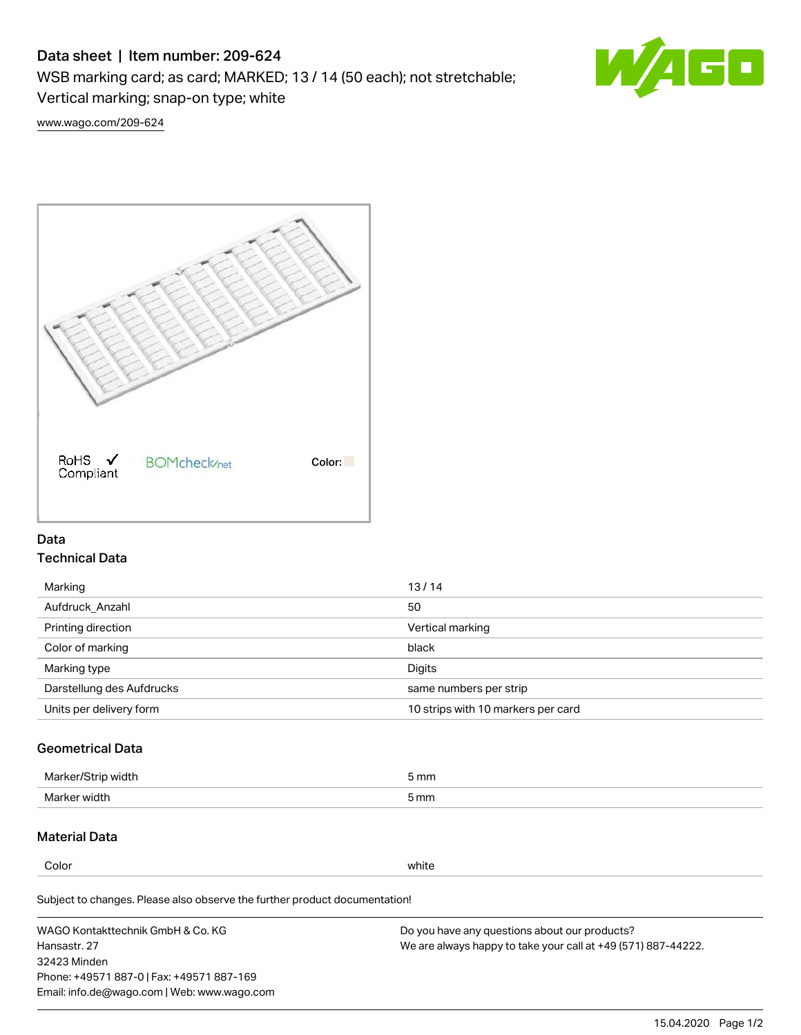# Data sheet | Item number: 209-624

WSB marking card; as card; MARKED; 13 / 14 (50 each); not stretchable;

Vertical marking; snap-on type; white



[www.wago.com/209-624](http://www.wago.com/209-624)



## Data Technical Data

| Marking                   | 13/14                              |
|---------------------------|------------------------------------|
| Aufdruck Anzahl           | 50                                 |
| Printing direction        | Vertical marking                   |
| Color of marking          | black                              |
| Marking type              | Digits                             |
| Darstellung des Aufdrucks | same numbers per strip             |
| Units per delivery form   | 10 strips with 10 markers per card |

# Geometrical Data

| Marker/Strip width | 5 mm |
|--------------------|------|
| Marker width       | 5 mm |

## Material Data

Color white

Subject to changes. Please also observe the further product documentation!

WAGO Kontakttechnik GmbH & Co. KG Hansastr. 27 32423 Minden Phone: +49571 887-0 | Fax: +49571 887-169 Email: info.de@wago.com | Web: www.wago.com Do you have any questions about our products? We are always happy to take your call at +49 (571) 887-44222.